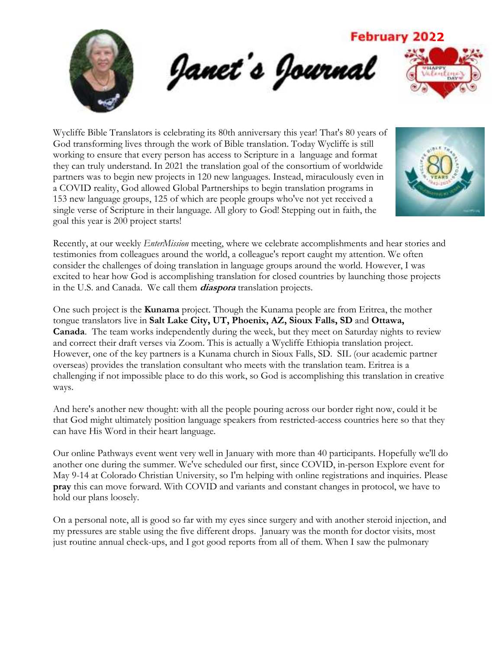

Wycliffe Bible Translators is celebrating its 80th anniversary this year! That's 80 years of God transforming lives through the work of Bible translation. Today Wycliffe is still working to ensure that every person has access to Scripture in a language and format they can truly understand. In 2021 the translation goal of the consortium of worldwide partners was to begin new projects in 120 new languages. Instead, miraculously even in a COVID reality, God allowed Global Partnerships to begin translation programs in 153 new language groups, 125 of which are people groups who've not yet received a single verse of Scripture in their language. All glory to God! Stepping out in faith, the goal this year is 200 project starts!



Recently, at our weekly *EnterMission* meeting, where we celebrate accomplishments and hear stories and testimonies from colleagues around the world, a colleague's report caught my attention. We often consider the challenges of doing translation in language groups around the world. However, I was excited to hear how God is accomplishing translation for closed countries by launching those projects in the U.S. and Canada. We call them **diaspora** translation projects.

One such project is the **Kunama** project. Though the Kunama people are from Eritrea, the mother tongue translators live in **Salt Lake City, UT, Phoenix, AZ, Sioux Falls, SD** and **Ottawa, Canada**. The team works independently during the week, but they meet on Saturday nights to review and correct their draft verses via Zoom. This is actually a Wycliffe Ethiopia translation project. However, one of the key partners is a Kunama church in Sioux Falls, SD. SIL (our academic partner overseas) provides the translation consultant who meets with the translation team. Eritrea is a challenging if not impossible place to do this work, so God is accomplishing this translation in creative ways.

And here's another new thought: with all the people pouring across our border right now, could it be that God might ultimately position language speakers from restricted-access countries here so that they can have His Word in their heart language.

Our online Pathways event went very well in January with more than 40 participants. Hopefully we'll do another one during the summer. We've scheduled our first, since COVID, in-person Explore event for May 9-14 at Colorado Christian University, so I'm helping with online registrations and inquiries. Please **pray** this can move forward. With COVID and variants and constant changes in protocol, we have to hold our plans loosely.

On a personal note, all is good so far with my eyes since surgery and with another steroid injection, and my pressures are stable using the five different drops. January was the month for doctor visits, most just routine annual check-ups, and I got good reports from all of them. When I saw the pulmonary